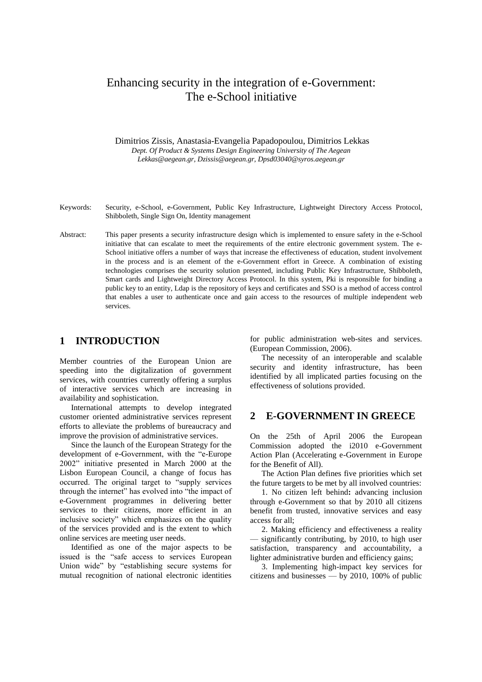# Enhancing security in the integration of e-Government: The e-School initiative

Dimitrios Zissis, Anastasia-Evangelia Papadopoulou, Dimitrios Lekkas *Dept. Of Product & Systems Design Engineering University of The Aegean Lekkas@aegean.gr, Dzissis@aegean.gr, Dpsd03040@syros.aegean.gr*

- Keywords: Security, e-School, e-Government, Public Key Infrastructure, Lightweight Directory Access Protocol, Shibboleth, Single Sign On, Identity management
- Abstract: This paper presents a security infrastructure design which is implemented to ensure safety in the e-School initiative that can escalate to meet the requirements of the entire electronic government system. The e-School initiative offers a number of ways that increase the effectiveness of education, student involvement in the process and is an element of the e-Government effort in Greece. A combination of existing technologies comprises the security solution presented, including Public Key Infrastructure, Shibboleth, Smart cards and Lightweight Directory Access Protocol. In this system, Pki is responsible for binding a public key to an entity, Ldap is the repository of keys and certificates and SSO is a method of access control that enables a user to authenticate once and gain access to the resources of multiple independent web services.

### **1 INTRODUCTION**

Member countries of the European Union are speeding into the digitalization of government services, with countries currently offering a surplus of interactive services which are increasing in availability and sophistication.

International attempts to develop integrated customer oriented administrative services represent efforts to alleviate the problems of bureaucracy and improve the provision of administrative services.

Since the launch of the European Strategy for the development of e-Government, with the "e-Europe 2002" initiative presented in March 2000 at the Lisbon European Council, a change of focus has occurred. The original target to "supply services through the internet" has evolved into "the impact of e-Government programmes in delivering better services to their citizens, more efficient in an inclusive society" which emphasizes on the quality of the services provided and is the extent to which online services are meeting user needs.

Identified as one of the major aspects to be issued is the "safe access to services European Union wide" by "establishing secure systems for mutual recognition of national electronic identities

for public administration web-sites and services. (European Commission, 2006).

The necessity of an interoperable and scalable security and identity infrastructure, has been identified by all implicated parties focusing on the effectiveness of solutions provided.

### **2 E-GOVERNMENT IN GREECE**

On the 25th of April 2006 the European Commission adopted the i2010 e-Government Action Plan (Accelerating e-Government in Europe for the Benefit of All).

The Action Plan defines five priorities which set the future targets to be met by all involved countries:

1. No citizen left behind**:** advancing inclusion through e-Government so that by 2010 all citizens benefit from trusted, innovative services and easy access for all;

2. Making efficiency and effectiveness a reality significantly contributing, by 2010, to high user satisfaction, transparency and accountability, a lighter administrative burden and efficiency gains;

3. Implementing high-impact key services for citizens and businesses — by 2010, 100% of public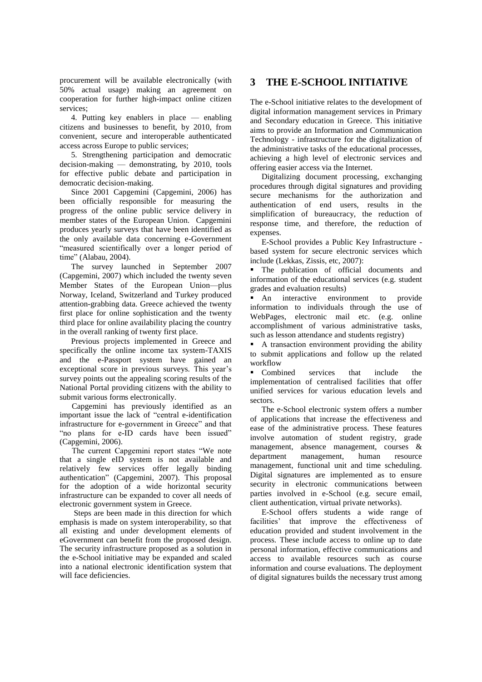procurement will be available electronically (with 50% actual usage) making an agreement on cooperation for further high-impact online citizen services;

4. Putting key enablers in place — enabling citizens and businesses to benefit, by 2010, from convenient, secure and interoperable authenticated access across Europe to public services;

5. Strengthening participation and democratic decision-making — demonstrating, by 2010, tools for effective public debate and participation in democratic decision-making.

Since 2001 Capgemini (Capgemini, 2006) has been officially responsible for measuring the progress of the online public service delivery in member states of the European Union. Capgemini produces yearly surveys that have been identified as the only available data concerning e-Government "measured scientifically over a longer period of time" (Alabau, 2004).

The survey launched in September 2007 (Capgemini, 2007) which included the twenty seven Member States of the European Union—plus Norway, Iceland, Switzerland and Turkey produced attention-grabbing data. Greece achieved the twenty first place for online sophistication and the twenty third place for online availability placing the country in the overall ranking of twenty first place.

Previous projects implemented in Greece and specifically the online income tax system-TAXIS and the e-Passport system have gained an exceptional score in previous surveys. This year's survey points out the appealing scoring results of the National Portal providing citizens with the ability to submit various forms electronically.

Capgemini has previously identified as an important issue the lack of "central e-identification infrastructure for e-government in Greece" and that "no plans for e-ID cards have been issued" (Capgemini, 2006).

The current Capgemini report states "We note that a single eID system is not available and relatively few services offer legally binding authentication" (Capgemini, 2007). This proposal for the adoption of a wide horizontal security infrastructure can be expanded to cover all needs of electronic government system in Greece.

Steps are been made in this direction for which emphasis is made on system interoperability, so that all existing and under development elements of eGovernment can benefit from the proposed design. The security infrastructure proposed as a solution in the e-School initiative may be expanded and scaled into a national electronic identification system that will face deficiencies.

## **3 THE E-SCHOOL INITIATIVE**

The e-School initiative relates to the development of digital information management services in Primary and Secondary education in Greece. This initiative aims to provide an Information and Communication Technology - infrastructure for the digitalization of the administrative tasks of the educational processes, achieving a high level of electronic services and offering easier access via the Internet.

Digitalizing document processing, exchanging procedures through digital signatures and providing secure mechanisms for the authorization and authentication of end users, results in the simplification of bureaucracy, the reduction of response time, and therefore, the reduction of expenses.

E-School provides a Public Key Infrastructure based system for secure electronic services which include (Lekkas, Zissis, etc, 2007):

 The publication of official documents and information of the educational services (e.g. student grades and evaluation results)

• An interactive environment to provide information to individuals through the use of WebPages, electronic mail etc. (e.g. online accomplishment of various administrative tasks, such as lesson attendance and students registry)

A transaction environment providing the ability to submit applications and follow up the related workflow

• Combined services that include the implementation of centralised facilities that offer unified services for various education levels and sectors.

The e-School electronic system offers a number of applications that increase the effectiveness and ease of the administrative process. These features involve automation of student registry, grade management, absence management, courses & department management, human resource management, functional unit and time scheduling. Digital signatures are implemented as to ensure security in electronic communications between parties involved in e-School (e.g. secure email, client authentication, virtual private networks).

E-School offers students a wide range of facilities' that improve the effectiveness of education provided and student involvement in the process. These include access to online up to date personal information, effective communications and access to available resources such as course information and course evaluations. The deployment of digital signatures builds the necessary trust among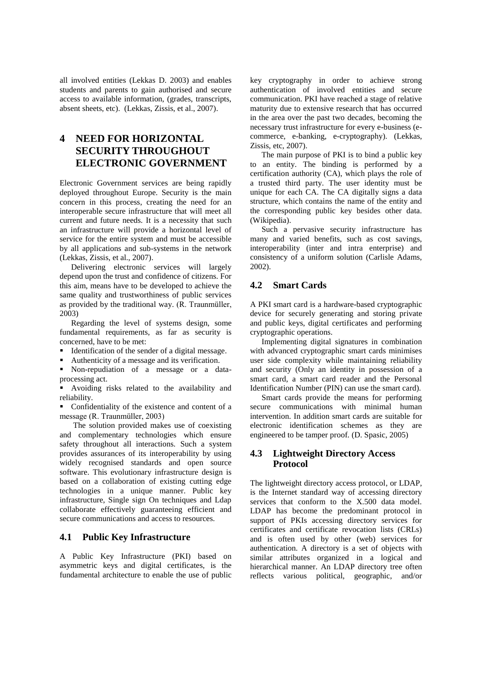all involved entities (Lekkas D. 2003) and enables students and parents to gain authorised and secure access to available information, (grades, transcripts, absent sheets, etc). (Lekkas, Zissis, et al., 2007).

## **4 NEED FOR HORIZONTAL SECURITY THROUGHOUT ELECTRONIC GOVERNMENT**

Electronic Government services are being rapidly deployed throughout Europe. Security is the main concern in this process, creating the need for an interoperable secure infrastructure that will meet all current and future needs. It is a necessity that such an infrastructure will provide a horizontal level of service for the entire system and must be accessible by all applications and sub-systems in the network (Lekkas, Zissis, et al., 2007).

Delivering electronic services will largely depend upon the trust and confidence of citizens. For this aim, means have to be developed to achieve the same quality and trustworthiness of public services as provided by the traditional way. (R. Traunmüller, 2003)

Regarding the level of systems design, some fundamental requirements, as far as security is concerned, have to be met:

- Identification of the sender of a digital message.
- Authenticity of a message and its verification.
- Non-repudiation of a message or a dataprocessing act.

 Avoiding risks related to the availability and reliability.

• Confidentiality of the existence and content of a message (R. Traunmüller, 2003)

The solution provided makes use of coexisting and complementary technologies which ensure safety throughout all interactions. Such a system provides assurances of its interoperability by using widely recognised standards and open source software. This evolutionary infrastructure design is based on a collaboration of existing cutting edge technologies in a unique manner. Public key infrastructure, Single sign On techniques and Ldap collaborate effectively guaranteeing efficient and secure communications and access to resources.

### **4.1 Public Key Infrastructure**

A Public Key Infrastructure (PKI) based on asymmetric keys and digital certificates, is the fundamental architecture to enable the use of public

key cryptography in order to achieve strong authentication of involved entities and secure communication. PKI have reached a stage of relative maturity due to extensive research that has occurred in the area over the past two decades, becoming the necessary trust infrastructure for every e-business (ecommerce, e-banking, e-cryptography). (Lekkas, Zissis, etc, 2007).

The main purpose of PKI is to bind a public key to an entity. The binding is performed by a certification authority (CA), which plays the role of a trusted third party. The user identity must be unique for each CA. The CA digitally signs a data structure, which contains the name of the entity and the corresponding public key besides other data. (Wikipedia).

Such a pervasive security infrastructure has many and varied benefits, such as cost savings, interoperability (inter and intra enterprise) and consistency of a uniform solution (Carlisle Adams, 2002).

#### **4.2 Smart Cards**

A PKI smart card is a hardware-based cryptographic device for securely generating and storing private and public keys, digital certificates and performing cryptographic operations.

Implementing digital signatures in combination with advanced cryptographic smart cards minimises user side complexity while maintaining reliability and security (Only an identity in possession of a smart card, a smart card reader and the Personal Identification Number (PIN) can use the smart card).

Smart cards provide the means for performing secure communications with minimal human intervention. In addition smart cards are suitable for electronic identification schemes as they are engineered to be tamper proof. (D. Spasic, 2005)

#### **4.3 Lightweight Directory Access Protocol**

The lightweight directory access protocol, or LDAP, is the Internet standard way of accessing directory services that conform to the X.500 data model. LDAP has become the predominant protocol in support of PKIs accessing directory services for certificates and certificate revocation lists (CRLs) and is often used by other (web) services for authentication. A directory is a set of objects with similar attributes organized in a logical and hierarchical manner. An [LDAP directory tree](http://en.wikipedia.org/wiki/Directory_Information_Tree) often reflects various political, geographic, and/or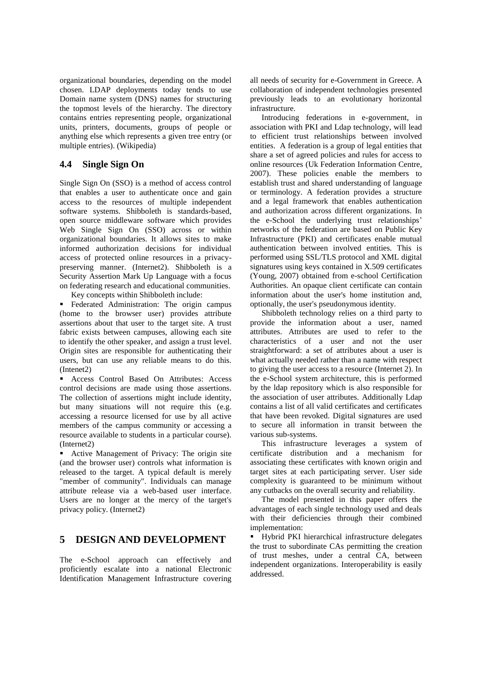organizational boundaries, depending on the model chosen. LDAP deployments today tends to use Domain name system (DNS) names for structuring the topmost levels of the hierarchy. The directory contains entries representing people, organizational units, printers, documents, groups of people or anything else which represents a given tree entry (or multiple entries). (Wikipedia)

### **4.4 Single Sign On**

Single Sign On (SSO) is a method of access control that enables a user to authenticate once and gain access to the resources of multiple independent software systems. Shibboleth is standards-based, open source middleware software which provides Web Single Sign On (SSO) across or within organizational boundaries. It allows sites to make informed authorization decisions for individual access of protected online resources in a privacypreserving manner. (Internet2). Shibboleth is a Security Assertion Mark Up Language with a focus on federating research and educational communities.

Key concepts within Shibboleth include:

**Federated Administration: The origin campus** (home to the browser user) provides attribute assertions about that user to the target site. A trust fabric exists between campuses, allowing each site to identify the other speaker, and assign a trust level. Origin sites are responsible for authenticating their users, but can use any reliable means to do this. (Intenet2)

 Access Control Based On Attributes: Access control decisions are made using those assertions. The collection of assertions might include identity, but many situations will not require this (e.g. accessing a resource licensed for use by all active members of the campus community or accessing a resource available to students in a particular course). (Internet2)

 Active Management of Privacy: The origin site (and the browser user) controls what information is released to the target. A typical default is merely "member of community". Individuals can manage attribute release via a web-based user interface. Users are no longer at the mercy of the target's privacy policy. (Internet2)

### **5 DESIGN AND DEVELOPMENT**

The e-School approach can effectively and proficiently escalate into a national Electronic Identification Management Infrastructure covering

all needs of security for e-Government in Greece. A collaboration of independent technologies presented previously leads to an evolutionary horizontal infrastructure.

Introducing federations in e-government, in association with PKI and Ldap technology, will lead to efficient trust relationships between involved entities. A federation is a group of legal entities that share a set of agreed policies and rules for access to online resources (Uk Federation Information Centre, 2007). These policies enable the members to establish trust and shared understanding of language or terminology. A federation provides a structure and a legal framework that enables authentication and authorization across different organizations. In the e-School the underlying trust relationships' networks of the federation are based on Public Key Infrastructure (PKI) and certificates enable mutual authentication between involved entities. This is performed using SSL/TLS protocol and XML digital signatures using keys contained in X.509 certificates (Young, 2007) obtained from e-school Certification Authorities. An opaque client certificate can contain information about the user's home institution and, optionally, the user's pseudonymous identity.

Shibboleth technology relies on a third party to provide the information about a user, named attributes. Attributes are used to refer to the characteristics of a user and not the user straightforward: a set of attributes about a user is what actually needed rather than a name with respect to giving the user access to a resource (Internet 2). In the e-School system architecture, this is performed by the ldap repository which is also responsible for the association of user attributes. Additionally Ldap contains a list of all valid certificates and certificates that have been revoked. Digital signatures are used to secure all information in transit between the various sub-systems.

This infrastructure leverages a system of certificate distribution and a mechanism for associating these certificates with known origin and target sites at each participating server. User side complexity is guaranteed to be minimum without any cutbacks on the overall security and reliability.

The model presented in this paper offers the advantages of each single technology used and deals with their deficiencies through their combined implementation:

 Hybrid PKI hierarchical infrastructure delegates the trust to subordinate CAs permitting the creation of trust meshes, under a central CA, between independent organizations. Interoperability is easily addressed.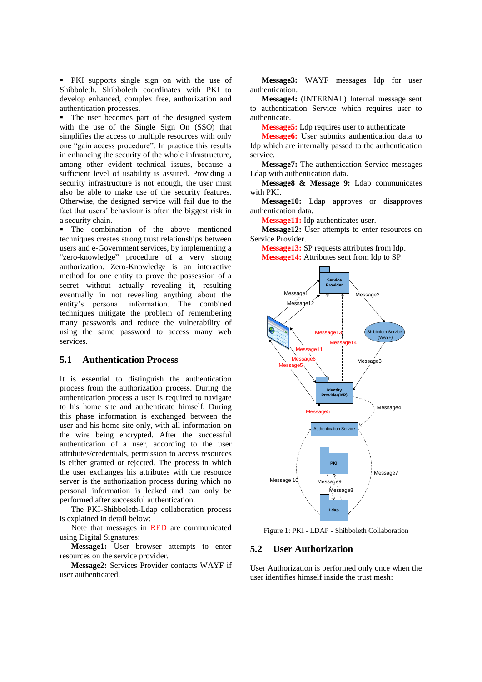PKI supports single sign on with the use of Shibboleth. Shibboleth coordinates with PKI to develop enhanced, complex free, authorization and authentication processes.

• The user becomes part of the designed system with the use of the Single Sign On (SSO) that simplifies the access to multiple resources with only one "gain access procedure". In practice this results in enhancing the security of the whole infrastructure, among other evident technical issues, because a sufficient level of usability is assured. Providing a security infrastructure is not enough, the user must also be able to make use of the security features. Otherwise, the designed service will fail due to the fact that users" behaviour is often the biggest risk in a security chain.

 The combination of the above mentioned techniques creates strong trust relationships between users and e-Government services, by implementing a "zero-knowledge" procedure of a very strong authorization. Zero-Knowledge is an interactive method for one entity to prove the possession of a secret without actually revealing it, resulting eventually in not revealing anything about the entity"s personal information. The combined techniques mitigate the problem of remembering many passwords and reduce the vulnerability of using the same password to access many web services.

#### **5.1 Authentication Process**

It is essential to distinguish the authentication process from the authorization process. During the authentication process a user is required to navigate to his home site and authenticate himself. During this phase information is exchanged between the user and his home site only, with all information on the wire being encrypted. After the successful authentication of a user, according to the user attributes/credentials, permission to access resources is either granted or rejected. The process in which the user exchanges his attributes with the resource server is the authorization process during which no personal information is leaked and can only be performed after successful authentication.

The PKI-Shibboleth-Ldap collaboration process is explained in detail below:

Note that messages in RED are communicated using Digital Signatures:

**Message1:** User browser attempts to enter resources on the service provider.

**Message2:** Services Provider contacts WAYF if user authenticated.

**Message3:** WAYF messages Idp for user authentication.

**Message4:** (INTERNAL) Internal message sent to authentication Service which requires user to authenticate.

**Message5:** Ldp requires user to authenticate

**Message6:** User submits authentication data to Idp which are internally passed to the authentication service.

**Message7:** The authentication Service messages Ldap with authentication data.

**Message8 & Message 9:** Ldap communicates with PKI.

**Message10:** Ldap approves or disapproves authentication data.

**Message11:** Idp authenticates user.

**Message12:** User attempts to enter resources on Service Provider.

**Message13:** SP requests attributes from Idp. **Message14:** Attributes sent from Idp to SP.



Figure 1: PKI - LDAP - Shibboleth Collaboration

### **5.2 User Authorization**

User Authorization is performed only once when the user identifies himself inside the trust mesh: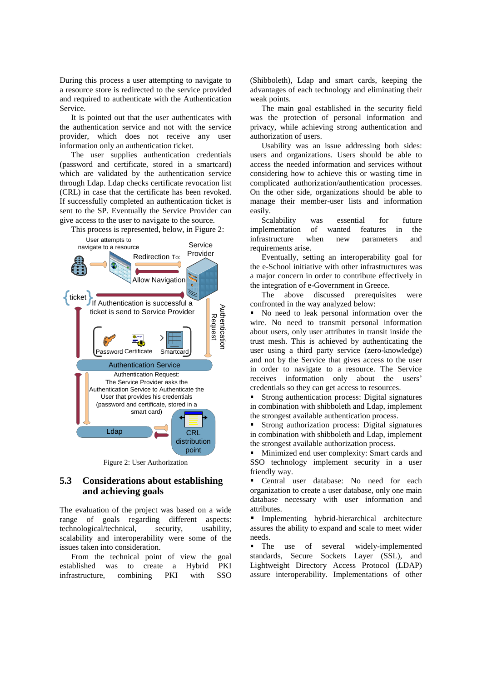During this process a user attempting to navigate to a resource store is redirected to the service provided and required to authenticate with the Authentication Service.

It is pointed out that the user authenticates with the authentication service and not with the service provider, which does not receive any user information only an authentication ticket.

The user supplies authentication credentials (password and certificate, stored in a smartcard) which are validated by the authentication service through Ldap. Ldap checks certificate revocation list (CRL) in case that the certificate has been revoked. If successfully completed an authentication ticket is sent to the SP. Eventually the Service Provider can give access to the user to navigate to the source.

This process is represented, below, in Figure 2:



Figure 2: User Authorization

### **5.3 Considerations about establishing and achieving goals**

The evaluation of the project was based on a wide range of goals regarding different aspects: technological/technical, security, usability, scalability and interoperability were some of the issues taken into consideration.

From the technical point of view the goal established was to create a Hybrid PKI infrastructure, combining PKI with SSO

(Shibboleth), Ldap and smart cards, keeping the advantages of each technology and eliminating their weak points.

The main goal established in the security field was the protection of personal information and privacy, while achieving strong authentication and authorization of users.

Usability was an issue addressing both sides: users and organizations. Users should be able to access the needed information and services without considering how to achieve this or wasting time in complicated authorization/authentication processes. On the other side, organizations should be able to manage their member-user lists and information easily.

Scalability was essential for future implementation of wanted features in the infrastructure when new parameters and requirements arise.

Eventually, setting an interoperability goal for the e-School initiative with other infrastructures was a major concern in order to contribute effectively in the integration of e-Government in Greece.

The above discussed prerequisites were confronted in the way analyzed below:

 No need to leak personal information over the wire. No need to transmit personal information about users, only user attributes in transit inside the trust mesh. This is achieved by authenticating the user using a third party service (zero-knowledge) and not by the Service that gives access to the user in order to navigate to a resource. The Service receives information only about the users' credentials so they can get access to resources.

**Strong authentication process: Digital signatures** in combination with shibboleth and Ldap, implement the strongest available authentication process.

**Strong authorization process: Digital signatures** in combination with shibboleth and Ldap, implement the strongest available authorization process.

 Minimized end user complexity: Smart cards and SSO technology implement security in a user friendly way.

 Central user database: No need for each organization to create a user database, only one main database necessary with user information and attributes.

**Implementing hybrid-hierarchical architecture** assures the ability to expand and scale to meet wider needs.<br>The

use of several widely-implemented standards, Secure Sockets Layer (SSL), and Lightweight Directory Access Protocol (LDAP) assure interoperability. Implementations of other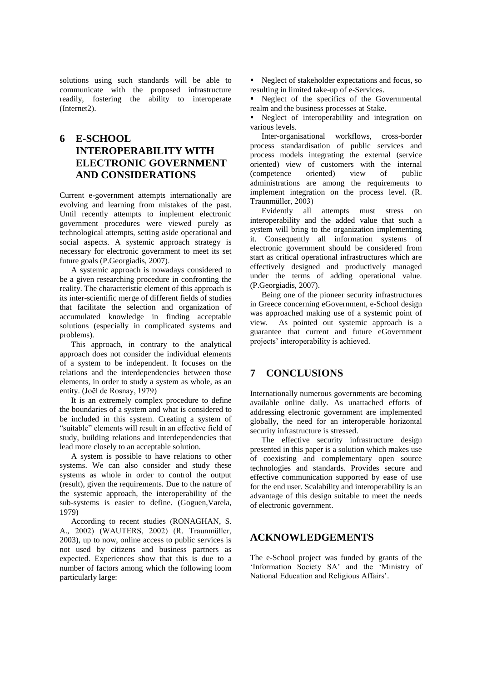solutions using such standards will be able to communicate with the proposed infrastructure readily, fostering the ability to interoperate (Internet2).

## **6 E-SCHOOL INTEROPERABILITY WITH ELECTRONIC GOVERNMENT AND CONSIDERATIONS**

Current e-government attempts internationally are evolving and learning from mistakes of the past. Until recently attempts to implement electronic government procedures were viewed purely as technological attempts, setting aside operational and social aspects. A systemic approach strategy is necessary for electronic government to meet its set future goals (P.Georgiadis, 2007).

A systemic approach is nowadays considered to be a given researching procedure in confronting the reality. The characteristic element of this approach is its inter-scientific merge of different fields of studies that facilitate the selection and organization of accumulated knowledge in finding acceptable solutions (especially in complicated systems and problems).

This approach, in contrary to the analytical approach does not consider the individual elements of a system to be independent. It focuses on the relations and the interdependencies between those elements, in order to study a system as whole, as an entity. (Joël de Rosnay, 1979)

It is an extremely complex procedure to define the boundaries of a system and what is considered to be included in this system. Creating a system of "suitable" elements will result in an effective field of study, building relations and interdependencies that lead more closely to an acceptable solution.

A system is possible to have relations to other systems. We can also consider and study these systems as whole in order to control the output (result), given the requirements. Due to the nature of the systemic approach, the interoperability of the sub-systems is easier to define. (Goguen,Varela, 1979)

According to recent studies (RONAGHAN, S. A., 2002) (WAUTERS, 2002) (R. Traunmüller, 2003), up to now, online access to public services is not used by citizens and business partners as expected. Experiences show that this is due to a number of factors among which the following loom particularly large:

 Neglect of stakeholder expectations and focus, so resulting in limited take-up of e-Services.

Neglect of the specifics of the Governmental realm and the business processes at Stake.

 Neglect of interoperability and integration on various levels.

Inter-organisational workflows, cross-border process standardisation of public services and process models integrating the external (service oriented) view of customers with the internal<br>(competence oriented) view of public (competence administrations are among the requirements to implement integration on the process level. (R. Traunmüller, 2003)

Evidently all attempts must stress on interoperability and the added value that such a system will bring to the organization implementing it. Consequently all information systems of electronic government should be considered from start as critical operational infrastructures which are effectively designed and productively managed under the terms of adding operational value. (P.Georgiadis, 2007).

Being one of the pioneer security infrastructures in Greece concerning eGovernment, e-School design was approached making use of a systemic point of view. As pointed out systemic approach is a guarantee that current and future eGovernment projects' interoperability is achieved.

### **7 CONCLUSIONS**

Internationally numerous governments are becoming available online daily. As unattached efforts of addressing electronic government are implemented globally, the need for an interoperable horizontal security infrastructure is stressed.

The effective security infrastructure design presented in this paper is a solution which makes use of coexisting and complementary open source technologies and standards. Provides secure and effective communication supported by ease of use for the end user. Scalability and interoperability is an advantage of this design suitable to meet the needs of electronic government.

### **ACKNOWLEDGEMENTS**

The e-School project was funded by grants of the 'Information Society SA' and the 'Ministry of National Education and Religious Affairs".